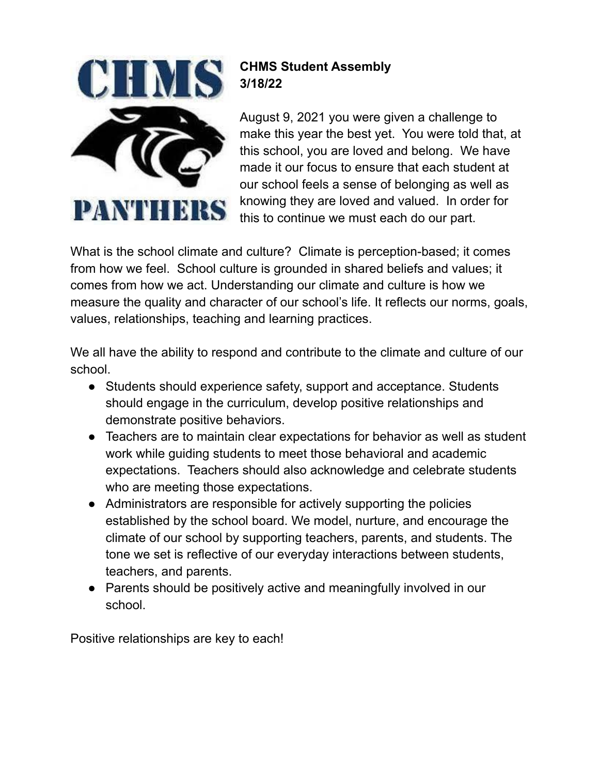

## **CHMS Student Assembly 3/18/22**

August 9, 2021 you were given a challenge to make this year the best yet. You were told that, at this school, you are loved and belong. We have made it our focus to ensure that each student at our school feels a sense of belonging as well as knowing they are loved and valued. In order for this to continue we must each do our part.

What is the school climate and culture? Climate is perception-based; it comes from how we feel. School culture is grounded in shared beliefs and values; it comes from how we act. Understanding our climate and culture is how we measure the quality and character of our school's life. It reflects our norms, goals, values, relationships, teaching and learning practices.

We all have the ability to respond and contribute to the climate and culture of our school.

- Students should experience safety, support and acceptance. Students should engage in the curriculum, develop positive relationships and demonstrate positive behaviors.
- Teachers are to maintain clear expectations for behavior as well as student work while guiding students to meet those behavioral and academic expectations. Teachers should also acknowledge and celebrate students who are meeting those expectations.
- Administrators are responsible for actively supporting the policies established by the school board. We model, nurture, and encourage the climate of our school by supporting teachers, parents, and students. The tone we set is reflective of our everyday interactions between students, teachers, and parents.
- Parents should be positively active and meaningfully involved in our school.

Positive relationships are key to each!